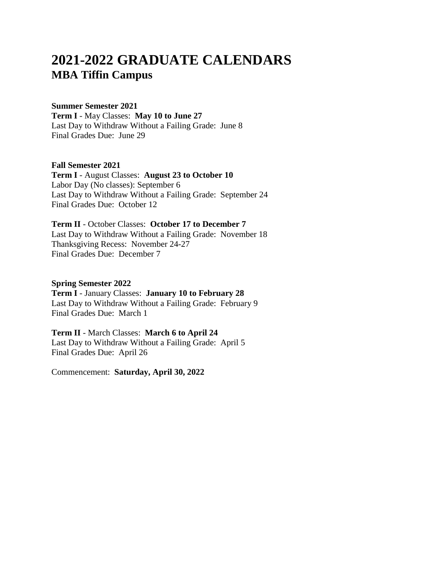# **2021-2022 GRADUATE CALENDARS MBA Tiffin Campus**

### **Summer Semester 2021 Term I** - May Classes: **May 10 to June 27**

Last Day to Withdraw Without a Failing Grade: June 8 Final Grades Due: June 29

### **Fall Semester 2021 Term I** - August Classes: **August 23 to October 10** Labor Day (No classes): September 6 Last Day to Withdraw Without a Failing Grade: September 24 Final Grades Due: October 12

**Term II** - October Classes: **October 17 to December 7** Last Day to Withdraw Without a Failing Grade: November 18 Thanksgiving Recess: November 24-27 Final Grades Due: December 7

### **Spring Semester 2022**

**Term I** - January Classes: **January 10 to February 28** Last Day to Withdraw Without a Failing Grade: February 9 Final Grades Due: March 1

**Term II** - March Classes: **March 6 to April 24** Last Day to Withdraw Without a Failing Grade: April 5 Final Grades Due: April 26

Commencement: **Saturday, April 30, 2022**